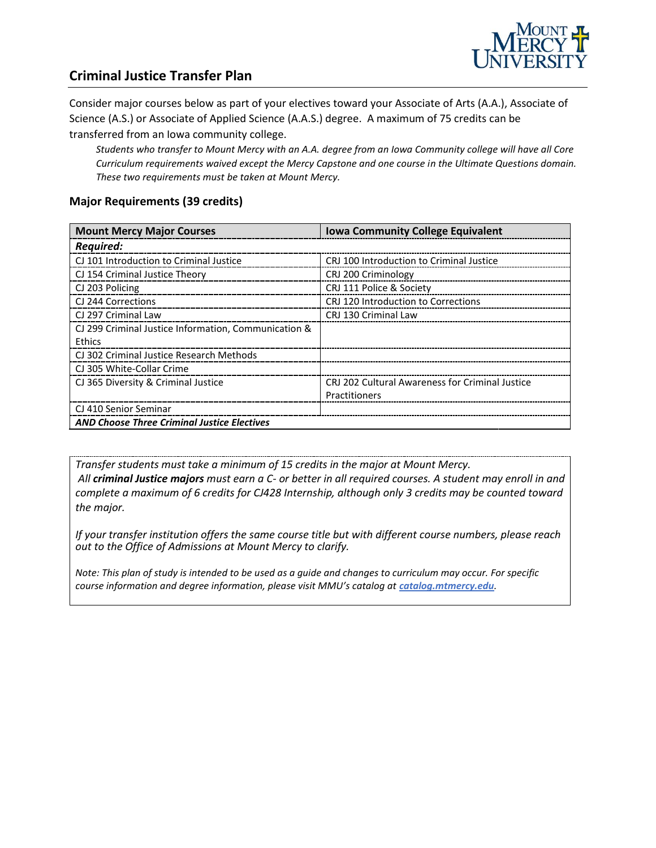

### **Criminal Justice Transfer Plan**

Consider major courses below as part of your electives toward your Associate of Arts (A.A.), Associate of Science (A.S.) or Associate of Applied Science (A.A.S.) degree. A maximum of 75 credits can be transferred from an Iowa community college.

*Students who transfer to Mount Mercy with an A.A. degree from an Iowa Community college will have all Core Curriculum requirements waived except the Mercy Capstone and one course in the Ultimate Questions domain. These two requirements must be taken at Mount Mercy.* 

#### **Major Requirements (39 credits)**

| <b>Mount Mercy Major Courses</b>                     | <b>Iowa Community College Equivalent</b>        |
|------------------------------------------------------|-------------------------------------------------|
| <b>Required:</b>                                     |                                                 |
| CJ 101 Introduction to Criminal Justice              | CRJ 100 Introduction to Criminal Justice        |
| CJ 154 Criminal Justice Theory                       | CRJ 200 Criminology                             |
| CJ 203 Policing                                      | CRJ 111 Police & Society                        |
| CJ 244 Corrections                                   | CRJ 120 Introduction to Corrections             |
| CJ 297 Criminal Law                                  | CRJ 130 Criminal Law                            |
| CJ 299 Criminal Justice Information, Communication & |                                                 |
| Ethics                                               |                                                 |
| CJ 302 Criminal Justice Research Methods             |                                                 |
| CJ 305 White-Collar Crime                            |                                                 |
| CJ 365 Diversity & Criminal Justice                  | CRJ 202 Cultural Awareness for Criminal Justice |
|                                                      | Practitioners                                   |
| CJ 410 Senior Seminar                                |                                                 |
| <b>AND Choose Three Criminal Justice Electives</b>   |                                                 |

*Transfer students must take a minimum of 15 credits in the major at Mount Mercy. All criminal Justice majors must earn a C- or better in all required courses. A student may enroll in and complete a maximum of 6 credits for CJ428 Internship, although only 3 credits may be counted toward the major.*

*If your transfer institution offers the same course title but with different course numbers, please reach out to the Office of Admissions at Mount Mercy to clarify.*

*Note: This plan of study is intended to be used as a guide and changes to curriculum may occur. For specific course information and degree information, please visit MMU's catalog at <i>catalog.mtmercy.edu*.